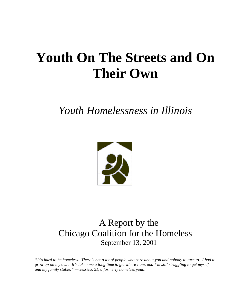# **Youth On The Streets and On Their Own**

## *Youth Homelessness in Illinois*



### A Report by the Chicago Coalition for the Homeless September 13, 2001

*"It's hard to be homeless. There's not a lot of people who care about you and nobody to turn to. I had to grow up on my own. It's taken me a long time to get where I am, and I'm still struggling to get myself and my family stable." — Jessica, 21, a formerly homeless youth*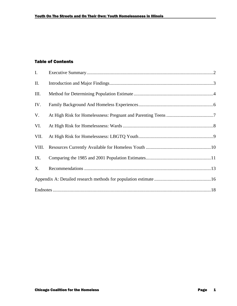#### Table of Contents

| I.    |  |  |
|-------|--|--|
| ΙΙ.   |  |  |
| Ш.    |  |  |
| IV.   |  |  |
| V.    |  |  |
| VI.   |  |  |
| VII.  |  |  |
| VIII. |  |  |
| IX.   |  |  |
| Χ.    |  |  |
|       |  |  |
|       |  |  |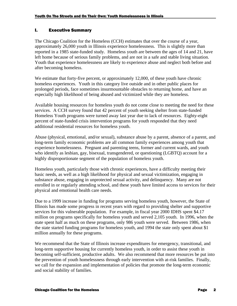#### I. Executive Summary

The Chicago Coalition for the Homeless (CCH) estimates that over the course of a year, approximately 26,000 youth in Illinois experience homelessness. This is slightly more than reported in a 1985 state-funded study. Homeless youth are between the ages of 14 and 21, have left home because of serious family problems, and are not in a safe and stable living situation. Youth that experience homelessness are likely to experience abuse and neglect both before and after becoming homeless.

We estimate that forty-five percent, or approximately 12,000, of these youth have chronic homeless experiences. Youth in this category live outside and in other public places for prolonged periods, face sometimes insurmountable obstacles to returning home, and have an especially high likelihood of being abused and victimized while they are homeless.

Available housing resources for homeless youth do not come close to meeting the need for these services. A CCH survey found that 42 percent of youth seeking shelter from state-funded Homeless Youth programs were turned away last year due to lack of resources. Eighty-eight percent of state-funded crisis intervention programs for youth responded that they need additional residential resources for homeless youth.

Abuse (physical, emotional, and/or sexual), substance abuse by a parent, absence of a parent, and long-term family economic problems are all common family experiences among youth that experience homelessness. Pregnant and parenting teens, former and current wards, and youth who identify as lesbian, gay, bisexual, transgendered, or questioning (LGBTQ) account for a highly disproportionate segment of the population of homeless youth.

Homeless youth, particularly those with chronic experiences, have a difficulty meeting their basic needs, as well as a high likelihood for physical and sexual victimization, engaging in substance abuse, engaging in unprotected sexual activity, and delinquency. Many are not enrolled in or regularly attending school, and these youth have limited access to services for their physical and emotional health care needs.

Due to a 1999 increase in funding for programs serving homeless youth, however, the State of Illinois has made some progress in recent years with regard to providing shelter and supportive services for this vulnerable population. For example, in fiscal year 2000 IDHS spent \$4.17 million on programs specifically for homeless youth and served 2,105 youth. In 1996, when the state spent half as much on these programs, only 986 youth were served. Between 1986, when the state started funding programs for homeless youth, and 1994 the state only spent about \$1 million annually for these programs.

We recommend that the State of Illinois increase expenditures for emergency, transitional, and long-term supportive housing for currently homeless youth, in order to assist these youth in becoming self-sufficient, productive adults. We also recommend that more resources be put into the prevention of youth homelessness through early intervention with at-risk families. Finally, we call for the expansion and implementation of policies that promote the long-term economic and social stability of families.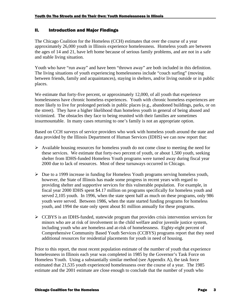#### II. Introduction and Major Findings

The Chicago Coalition for the Homeless (CCH) estimates that over the course of a year approximately 26,000 youth in Illinois experience homelessness. Homeless youth are between the ages of 14 and 21, have left home because of serious family problems, and are not in a safe and stable living situation.

Youth who have "run away" and have been "thrown away" are both included in this definition. The living situations of youth experiencing homelessness include "couch surfing" (moving between friends, family and acquaintances), staying in shelters, and/or living outside or in public places.

We estimate that forty-five percent, or approximately 12,000, of all youth that experience homelessness have chronic homeless experiences. Youth with chronic homeless experiences are more likely to live for prolonged periods in public places (e.g., abandoned buildings, parks, or on the street). They have a higher likelihood than homeless youth in general of being abused and victimized. The obstacles they face to being reunited with their families are sometimes insurmountable. In many cases returning to one's family is not an appropriate option.

Based on CCH surveys of service providers who work with homeless youth around the state and data provided by the Illinois Department of Human Services (IDHS) we can now report that:

- $\triangleright$  Available housing resources for homeless youth do not come close to meeting the need for these services. We estimate that forty-two percent of youth, or about 1,500 youth, seeking shelter from IDHS-funded Homeless Youth programs were turned away during fiscal year 2000 due to lack of resources. Most of these turnaways occurred in Chicago.
- $\triangleright$  Due to a 1999 increase in funding for Homeless Youth programs serving homeless youth, however, the State of Illinois has made some progress in recent years with regard to providing shelter and supportive services for this vulnerable population. For example, in fiscal year 2000 IDHS spent \$4.17 million on programs specifically for homeless youth and served 2,105 youth. In 1996, when the state spent half as much on these programs, only 986 youth were served. Between 1986, when the state started funding programs for homeless youth, and 1994 the state only spent about \$1 million annually for these programs.
- $\triangleright$  CCBYS is an IDHS-funded, statewide program that provides crisis intervention services for minors who are at risk of involvement in the child welfare and/or juvenile justice system, including youth who are homeless and at-risk of homelessness. Eighty-eight percent of Comprehensive Community Based Youth Services (CCBYS) programs report that they need additional resources for residential placements for youth in need of housing.

Prior to this report, the most recent population estimate of the number of youth that experience homelessness in Illinois each year was completed in 1985 by the Governor's Task Force on Homeless Youth. Using a substantially similar method (see Appendix A), the task force estimated that 21,535 youth experienced homelessness over the course of a year. The 1985 estimate and the 2001 estimate are close enough to conclude that the number of youth who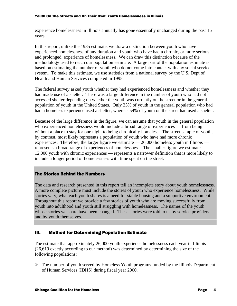experience homelessness in Illinois annually has gone essentially unchanged during the past 16 years.

In this report, unlike the 1985 estimate, we draw a distinction between youth who have experienced homelessness of any duration and youth who have had a chronic, or more serious and prolonged, experience of homelessness. We can draw this distinction because of the methodology used to reach our population estimate. A large part of the population estimate is based on estimating the number of youth who do not come into contact with any social service system. To make this estimate, we use statistics from a national survey by the U.S. Dept of Health and Human Services completed in 1995.<sup>i</sup>

The federal survey asked youth whether they had experienced homelessness and whether they had made use of a shelter. There was a large difference in the number of youth who had not accessed shelter depending on whether the youth was currently on the street or in the general population of youth in the United States. Only 25% of youth in the general population who had had a homeless experience used a shelter, whereas 54% of youth on the street had used a shelter.

Because of the large difference in the figure, we can assume that youth in the general population who experienced homelessness would include a broad range of experiences — from being without a place to stay for one night to being chronically homeless. The street sample of youth, by contrast, most likely represents a population of youth who have had more chronic experiences. Therefore, the larger figure we estimate  $-26,000$  homeless youth in Illinois  $$ represents a broad range of experiences of homelessness. The smaller figure we estimate — 12,000 youth with chronic experiences — represents a narrower definition that is more likely to include a longer period of homelessness with time spent on the street.

#### The Stories Behind the Numbers

The data and research presented in this report tell an incomplete story about youth homelessness. A more complete picture must include the stories of youth who experience homelessness. While stories vary, what each youth shares is a need for stable housing and a supportive environment. Throughout this report we provide a few stories of youth who are moving successfully from youth into adulthood and youth still struggling with homelessness. The names of the youth whose stories we share have been changed. These stories were told to us by service providers and by youth themselves.

#### III. Method for Determining Population Estimate

The estimate that approximately 26,000 youth experience homelessness each year in Illinois (26,619 exactly according to our method) was determined by determining the size of the following populations:

 $\triangleright$  The number of youth served by Homeless Youth programs funded by the Illinois Department of Human Services (IDHS) during fiscal year 2000.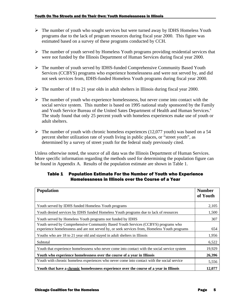- $\triangleright$  The number of youth who sought services but were turned away by IDHS Homeless Youth programs due to the lack of program resources during fiscal year 2000. This figure was estimated based on a survey of these programs conducted by CCH.
- $\triangleright$  The number of youth served by Homeless Youth programs providing residential services that were not funded by the Illinois Department of Human Services during fiscal year 2000.
- $\triangleright$  The number of youth served by IDHS-funded Comprehensive Community Based Youth Services (CCBYS) programs who experience homelessness and were not served by, and did not seek services from, IDHS-funded Homeless Youth programs during fiscal year 2000.
- $\triangleright$  The number of 18 to 21 year olds in adult shelters in Illinois during fiscal year 2000.
- $\triangleright$  The number of youth who experience homelessness, but never come into contact with the social service system. This number is based on 1995 national study sponsored by the Family and Youth Service Bureau of the United Sates Department of Health and Human Services.<sup>ii</sup> The study found that only 25 percent youth with homeless experiences make use of youth or adult shelters.
- $\triangleright$  The number of youth with chronic homeless experiences (12,077 youth) was based on a 54 percent shelter utilization rate of youth living in public places, or "street youth", as determined by a survey of street youth for the federal study previously cited.

Unless otherwise noted, the source of all data was the Illinois Department of Human Services. More specific information regarding the methods used for determining the population figure can be found in Appendix A. Results of the population estimate are shown in Table 1.

#### Table 1 — Population Estimate For the Number of Youth who Experience Homelessness in Illinois over the Course of a Year

| <b>Population</b>                                                                                                                                                                  | <b>Number</b><br>of Youth |  |
|------------------------------------------------------------------------------------------------------------------------------------------------------------------------------------|---------------------------|--|
| Youth served by IDHS funded Homeless Youth programs                                                                                                                                | 2,105                     |  |
| Youth denied services by IDHS funded Homeless Youth programs due to lack of resources                                                                                              |                           |  |
| Youth served by Homeless Youth programs not funded by IDHS                                                                                                                         |                           |  |
| Youth served by Comprehensive Community Based Youth Services (CCBYS) programs who<br>experience homelessness and are not served by, or seek services from, Homeless Youth programs |                           |  |
| Youths who are 18 to 21 year old and stayed in adult shelters in Illinois                                                                                                          | 1,956                     |  |
| Subtotal                                                                                                                                                                           | 6,522                     |  |
| Youth that experience homelessness who never come into contact with the social service system                                                                                      | 19,929                    |  |
| Youth who experience homelessness over the course of a year in Illinois                                                                                                            |                           |  |
| Youth with chronic homeless experiences who never come into contact with the social service                                                                                        | 5,556                     |  |
| Youth that have a chronic homelessness experience over the course of a year in Illinois                                                                                            |                           |  |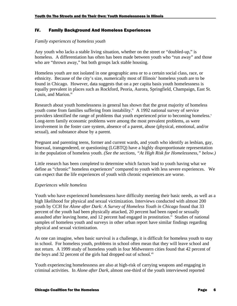#### IV. Family Background And Homeless Experiences

#### *Family experiences of homeless youth*

Any youth who lacks a stable living situation, whether on the street or "doubled-up," is homeless. A differentiation has often has been made between youth who "run away" and those who are "thrown away," but both groups lack stable housing.

Homeless youth are not isolated in one geographic area or to a certain social class, race, or ethnicity. Because of the city's size, numerically most of Illinois' homeless youth are to be found in Chicago. However, data suggests that on a per capita basis youth homelessness is equally prevalent in places such as Rockford, Peoria, Aurora, Springfield, Champaign, East St. Louis, and Marion.<sup>iii</sup>

Research about youth homelessness in general has shown that the great majority of homeless youth come from families suffering from instability.<sup>iv</sup> A 1992 national survey of service providers identified the range of problems that youth experienced prior to becoming homeless.<sup>v</sup> Long-term family economic problems were among the most prevalent problems, as were involvement in the foster care system, absence of a parent, abuse (physical, emotional, and/or sexual), and substance abuse by a parent.

Pregnant and parenting teens, former and current wards, and youth who identify as lesbian, gay, bisexual, transgendered, or questioning (LGBTQ) have a highly disproportionate representation in the population of homeless youth. *(See the sections, "At High Risk for Homelessness," below.)*

Little research has been completed to determine which factors lead to youth having what we define as "chronic" homeless experiences" compared to youth with less severe experiences. We can expect that the life experiences of youth with chronic experiences are worse.

#### *Experiences while homeless*

Youth who have experienced homelessness have difficulty meeting their basic needs, as well as a high likelihood for physical and sexual victimization. Interviews conducted with almost 200 youth by CCH for *Alone after Dark: A Survey of Homeless Youth in Chicago* found that 33 percent of the youth had been physically attacked, 20 percent had been raped or sexually assaulted after leaving home, and 12 percent had engaged in prostitution. $\dot{v}$  Studies of national samples of homeless youth and surveys in other urban report have similar findings regarding physical and sexual victimization.

As one can imagine, when basic survival is a challenge, it is difficult for homeless youth to stay in school. For homeless youth, problems in school often mean that they will leave school and not return. A 1999 study of homeless youth in four Midwestern cities found that 42 percent of the boys and 32 percent of the girls had dropped out of school.<sup>vii</sup>

Youth experiencing homelessness are also at high-risk of carrying weapons and engaging in criminal activities. In *Alone after Dark*, almost one-third of the youth interviewed reported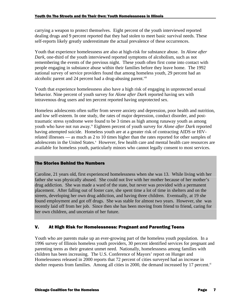carrying a weapon to protect themselves. Eight percent of the youth interviewed reported dealing drugs and 9 percent reported that they had stolen to meet basic survival needs. These self-reports likely greatly underestimate the actual prevalence of these occurrences.

Youth that experience homelessness are also at high-risk for substance abuse. In *Alone after Dark,* one-third of the youth interviewed reported symptoms of alcoholism, such as not remembering the events of the previous night. These youth often first come into contact with people engaging in substance abuse within their families before they leave home. The 1992 national survey of service providers found that among homeless youth, 29 percent had an alcoholic parent and 24 percent had a drug-abusing parent.<sup>viii</sup>

Youth that experience homelessness also have a high risk of engaging in unprotected sexual behavior. Nine percent of youth survey for *Alone after Dark* reported having sex with intravenous drug users and ten percent reported having unprotected sex.

Homeless adolescents often suffer from severe anxiety and depression, poor health and nutrition, and low self-esteem. In one study, the rates of major depression, conduct disorder, and posttraumatic stress syndrome were found to be 3 times as high among runaway youth as among youth who have not run away.<sup>ix</sup> Eighteen percent of youth survey for *Alone after Dark* reported having attempted suicide. Homeless youth are at a greater risk of contracting AIDS or HIVrelated illnesses — as much as 2 to 10 times higher than the rates reported for other samples of adolescents in the United States.<sup>x</sup> However, few health care and mental health care resources are available for homeless youth, particularly minors who cannot legally consent to most services.

#### The Stories Behind the Numbers

Caroline, 21 years old, first experienced homelessness when she was 13. While living with her father she was physically abused. She could not live with her mother because of her mother's drug addiction. She was made a ward of the state, but never was provided with a permanent placement. After falling out of foster care, she spent time a lot of time in shelters and on the streets, developing her own drug addiction, and having three children. Eventually, at 19 she found employment and got off drugs. She was stable for almost two years. However, she was recently laid off from her job. Since then she has been moving from friend to friend, caring for her own children, and uncertain of her future.

#### V. At High Risk for Homelessness: Pregnant and Parenting Teens

Youth who are parents make up an ever-growing part of the homeless youth population. In a 1996 survey of Illinois homeless youth providers, 30 percent identified services for pregnant and parenting teens as their greatest unmet need. Nationally, homelessness among families with children has been increasing. The U.S. Conference of Mayors' report on Hunger and Homelessness released in 2000 reports that 72 percent of cities surveyed had an increase in shelter requests from families. Among all cities in 2000, the demand increased by 17 percent. $x$ <sup>i</sup>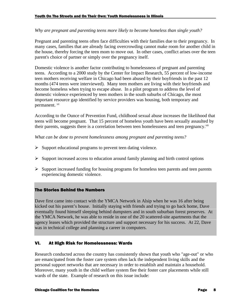#### *Why are pregnant and parenting teens more likely to become homeless than single youth?*

Pregnant and parenting teens often face difficulties with their families due to their pregnancy. In many cases, families that are already facing overcrowding cannot make room for another child in the house, thereby forcing the teen mom to move out. In other cases, conflict arises over the teen parent's choice of partner or simply over the pregnancy itself.

Domestic violence is another factor contributing to homelessness of pregnant and parenting teens. According to a 2000 study by the Center for Impact Research, 55 percent of low-income teen mothers receiving welfare in Chicago had been abused by their boyfriends in the past 12 months (474 teens were interviewed). Many teen mothers are living with their boyfriends and become homeless when trying to escape abuse. In a pilot program to address the level of domestic violence experienced by teen mothers in the south suburbs of Chicago, the most important resource gap identified by service providers was housing, both temporary and permanent. xii

According to the Ounce of Prevention Fund, childhood sexual abuse increases the likelihood that teens will become pregnant. That 15 percent of homeless youth have been sexually assaulted by their parents, suggests there is a correlation between teen homelessness and teen pregnancy.<sup>xiii</sup>

*What can be done to prevent homelessness among pregnant and parenting teens?*

- $\triangleright$  Support educational programs to prevent teen dating violence.
- $\triangleright$  Support increased access to education around family planning and birth control options
- $\triangleright$  Support increased funding for housing programs for homeless teen parents and teen parents experiencing domestic violence.

#### The Stories Behind the Numbers

Dave first came into contact with the YMCA Network in Alsip when he was 16 after being kicked out his parent's house. Initially staying with friends and trying to go back home, Dave eventually found himself sleeping behind dumpsters and in south suburban forest preserves. At the YMCA Network, he was able to reside in one of the 20 scattered-site apartments that the agency leases which provided the structure and support necessary for his success. At 22, Dave was in technical college and planning a career in computers.

#### VI. At High Risk for Homelessness: Wards

Research conducted across the country has consistently shown that youth who "age-out" or who are emancipated from the foster care system often lack the independent living skills and the personal support networks that are necessary in order to establish and maintain a household. Moreover, many youth in the child welfare system flee their foster care placements while still wards of the state. Example of research on this issue include: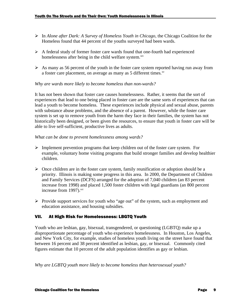- ÿ In *Alone after Dark: A Survey of Homeless Youth in Chicago*, the Chicago Coalition for the Homeless found that 44 percent of the youths surveyed had been wards.
- > A federal study of former foster care wards found that one-fourth had experienced homelessness after being in the child welfare system.<sup>xiv</sup>
- $\triangleright$  As many as 56 percent of the youth in the foster care system reported having run away from a foster care placement, on average as many as 5 different times.<sup>xv</sup>

#### *Why are wards more likely to become homeless than non-wards?*

It has not been shown that foster care causes homelessness. Rather, it seems that the sort of experiences that lead to one being placed in foster care are the same sorts of experiences that can lead a youth to become homeless. These experiences include physical and sexual abuse, parents with substance abuse problems, and the absence of a parent. However, while the foster care system is set up to remove youth from the harm they face in their families, the system has not historically been designed, or been given the resources, to ensure that youth in foster care will be able to live self-sufficient, productive lives as adults.

#### *What can be done to prevent homelessness among wards?*

- $\triangleright$  Implement prevention programs that keep children out of the foster care system. For example, voluntary home visiting programs that build stronger families and develop healthier children.
- $\triangleright$  Once children are in the foster care system, family reunification or adoption should be a priority. Illinois is making some progress in this area. In 2000, the Department of Children and Family Services (DCFS) arranged for the adoption of 7,040 children (an 83 percent increase from 1998) and placed 1,500 foster children with legal guardians (an 800 percent increase from 1997).<sup>xvi</sup>
- $\triangleright$  Provide support services for youth who "age out" of the system, such as employment and education assistance, and housing subsidies.

#### VII. At High Risk for Homelessness: LBGTQ Youth

Youth who are lesbian, gay, bisexual, transgendered, or questioning (LGBTQ) make up a disproportionate percentage of youth who experience homelessness. In Houston, Los Angeles, and New York City, for example, studies of homeless youth living on the street have found that between 16 percent and 38 percent identified as lesbian, gay, or bisexual. Commonly cited figures estimate that 10 percent of the adult population identifies as gay or lesbian.

*Why are LGBTQ youth more likely to become homeless than heterosexual youth?*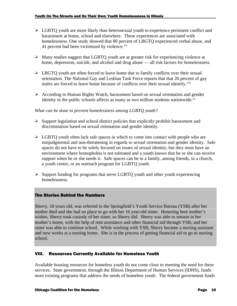- $\triangleright$  LGBTQ youth are more likely than heterosexual youth to experience persistent conflict and harassment at home, school and elsewhere. These experiences are associated with homelessness. One study showed that 80 percent of LBGTQ experienced verbal abuse, and 41 percent had been victimized by violence.<sup>xvii</sup>
- $\triangleright$  Many studies suggest that LGBTQ youth are at greater risk for experiencing violence at home, depression, suicide, and alcohol and drug abuse — all risk factors for homelessness.
- $\triangleright$  LBGTQ youth are often forced to leave home due to family conflicts over their sexual orientation. The National Gay and Lesbian Task Force reports that that 26 percent of gay males are forced to leave home because of conflicts over their sexual identify.<sup>xviii</sup>
- $\triangleright$  According to Human Rights Watch, harassment based on sexual orientation and gender identity in the public schools affects as many as two million students nationwide. $\frac{x}{x}$

#### *What can be done to prevent homelessness among LGBTQ youth?*

- $\triangleright$  Support legislation and school district policies that explicitly prohibit harassment and discrimination based on sexual orientation and gender identity.
- $\triangleright$  LGBTQ youth often lack safe spaces in which to come into contact with people who are nonjudgmental and non-threatening in regards to sexual orientation and gender identity. Safe spaces do not have to be solely focused on issues of sexual identity, but they must have an environment where homophobia is not tolerated and a youth knows that he or she can receive support when he or she needs it. Safe spaces can be in a family, among friends, in a church, a youth center, or an outreach program for LGBTQ youth.
- $\triangleright$  Support funding for programs that serve LGBTO youth and other youth experiencing homelessness.

#### The Stories Behind the Numbers

Sherry, 18 years old, was referred to the Springfield's Youth Service Bureau (YSB) after her mother died and she had no place to go with her 16 year-old sister. Honoring here mother's wishes, Sherry took custody of her sister, so Sherry did. Sherry was able to remain in her mother's home, with the help of rent assistance and other financial aid through YSB, and her sister was able to continue school. While working with YSB, Sherry became a nursing assistant and now works at a nursing home. She is in the process of getting financial aid to go to nursing school.

#### VIII. Resources Currently Available for Homeless Youth

Available housing resources for homeless youth do not come close to meeting the need for these services. State government, through the Illinois Department of Human Services (IDHS), funds most existing programs that address the needs of homeless youth. The federal government funds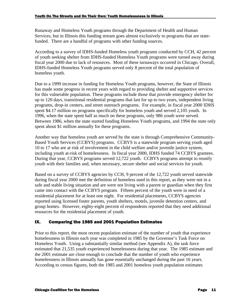Runaway and Homeless Youth programs through the Department of Health and Human Services, but in Illinois this funding stream goes almost exclusively to programs that are statefunded. There are a handful of programs with other funding sources.

According to a survey of IDHS-funded Homeless youth programs conducted by CCH, 42 percent of youth seeking shelter from IDHS-funded Homeless Youth programs were turned away during fiscal year 2000 due to lack of resources. Most of these turnaways occurred in Chicago. Overall, IDHS-funded Homeless Youth programs served only 8 percent of the total population of homeless youth.

Due to a 1999 increase in funding for Homeless Youth programs, however, the State of Illinois has made some progress in recent years with regard to providing shelter and supportive services for this vulnerable population. These programs include those that provide emergency shelter for up to 120 days, transitional residential programs that last for up to two years, independent living programs, drop-in centers, and street outreach programs. For example, in fiscal year 2000 IDHS spent \$4.17 million on programs specifically for homeless youth and served 2,105 youth. In 1996, when the state spent half as much on these programs, only 986 youth were served. Between 1986, when the state started funding Homeless Youth programs, and 1994 the state only spent about \$1 million annually for these programs.

Another way that homeless youth are served by the state is through Comprehensive Community-Based Youth Services (CCBYS) programs. CCBYS is a statewide program serving youth aged 10 to 17 who are at risk of involvement in the child welfare and/or juvenile justice system, including youth at-risk of homelessness. In fiscal year 2000, IDHS funded 74 CCBYS grantees. During that year, CCBYS programs served 12,722 youth. CCBYS programs attempt to reunify youth with their families and, when necessary, secure shelter and social services for youth.

Based on a survey of CCBYS agencies by CCH, 9 percent of the 12,722 youth served statewide during fiscal year 2000 met the definition of homeless used in this report, as they were not in a safe and stable living situation and are were not living with a parent or guardian when they first came into contact with the CCBYS program. Fifteen percent of the youth were in need of a residential placement for at least one night. For residential placements, CCBYS agencies reported using licensed foster parents, youth shelters, motels, juvenile detention centers, and group homes. However, eighty-eight percent of respondents reported that they need additional resources for the residential placement of youth.

#### IX. Comparing the 1985 and 2001 Population Estimates

Prior to this report, the most recent population estimate of the number of youth that experience homelessness in Illinois each year was completed in 1985 by the Governor's Task Force on Homeless Youth. Using a substantially similar method (see Appendix A), the task force estimated that 21,535 youth experienced homelessness during that year. The 1985 estimate and the 2001 estimate are close enough to conclude that the number of youth who experience homelessness in Illinois annually has gone essentially unchanged during the past 16 years. According to census figures, both the 1985 and 2001 homeless youth population estimates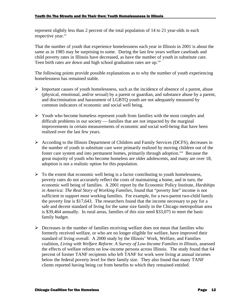represent slightly less than 2 percent of the total population of 14 to 21 year-olds in each respective year.<sup>xx</sup>

That the number of youth that experience homelessness each year in Illinois in 2001 is about the same as in 1985 may be surprising to some. During the last few years welfare caseloads and child poverty rates in Illinois have decreased, as have the number of youth in substitute care. Teen birth rates are down and high school graduation rates are up.<sup>xxi</sup>

The following points provide possible explanations as to why the number of youth experiencing homelessness has remained stable.

- $\triangleright$  Important causes of youth homelessness, such as the incidence of absence of a parent, abuse (physical, emotional, and/or sexual) by a parent or guardian, and substance abuse by a parent, and discrimination and harassment of LGBTQ youth are not adequately measured by common indicators of economic and social well being.
- $\triangleright$  Youth who become homeless represent youth from families with the most complex and difficult problems in our society — families that are not impacted by the marginal improvements in certain measurements of economic and social well-being that have been realized over the last few years.
- $\triangleright$  According to the Illinois Department of Children and Family Services (DCFS), decreases in the number of youth in substitute care were primarily realized by moving children out of the foster care system and into permanent homes, primarily through adoption.<sup>xxii</sup> Because the great majority of youth who become homeless are older adolescents, and many are over 18, adoption is not a realistic option for this population.
- $\triangleright$  To the extent that economic well being is a factor contributing to youth homelessness, poverty rates do not accurately reflect the costs of maintaining a home, and in turn, the economic well being of families. A 2001 report by the Economic Policy Institute, *Hardships in America: The Real Story of Working Families*, found that "poverty line" income is not sufficient to support most working families. For example, for a two-parent two-child family the poverty line is \$17,643. The researchers found that the income necessary to pay for a safe and decent standard of living for the same size family in the Chicago metropolitan area is \$39,464 annually. In rural areas, families of this size need \$33,075 to meet the basic family budget.
- $\triangleright$  Decreases in the number of families receiving welfare does not mean that families who formerly received welfare, or who are no longer eligible for welfare, have improved their standard of living overall. A 2000 study by the Illinois' Work, Welfare, and Families coalition, *Living with Welfare Reform: A Survey of Low-Income Families in Illinois,* assessed the effects of welfare reform on low-income persons across Illinois. The study found that 64 percent of former TANF recipients who left TANF for work were living at annual incomes below the federal poverty level for their family size. They also found that many TANF clients reported having being cut from benefits to which they remained entitled.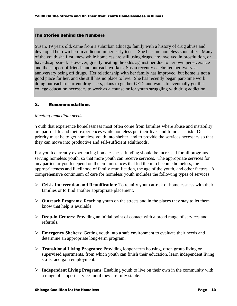#### The Stories Behind the Numbers

Susan, 19 years old, came from a suburban Chicago family with a history of drug abuse and developed her own heroin addiction in her early teens. She became homeless soon after. Many of the youth she first knew while homeless are still using drugs, are involved in prostitution, or have disappeared. However, greatly beating the odds against her due to her own perseverance and the support of friends and outreach workers, Susan recently celebrated her two-year anniversary being off drugs. Her relationship with her family has improved, but home is not a good place for her, and she still has no place to live. She has recently began part-time work doing outreach to current drug users, plans to get her GED, and wants to eventually get the college education necessary to work as a counselor for youth struggling with drug addiction.

#### X. Recommendations

#### *Meeting immediate needs*

Youth that experience homelessness most often come from families where abuse and instability are part of life and their experiences while homeless put their lives and futures at-risk. Our priority must be to get homeless youth into shelter, and to provide the services necessary so that they can move into productive and self-sufficient adulthoods.

For youth currently experiencing homelessness, funding should be increased for all programs serving homeless youth, so that more youth can receive services. The appropriate services for any particular youth depend on the circumstances that led them to become homeless, the appropriateness and likelihood of family reunification, the age of the youth, and other factors. A comprehensive continuum of care for homeless youth includes the following types of services:

- ÿ **Crisis Intervention and Reunification**: To reunify youth at-risk of homelessness with their families or to find another appropriate placement.
- ÿ **Outreach Programs**: Reaching youth on the streets and in the places they stay to let them know that help is available.
- ÿ **Drop-in Centers**: Providing an initial point of contact with a broad range of services and referrals.
- ÿ **Emergency Shelters**: Getting youth into a safe environment to evaluate their needs and determine an appropriate long-term program.
- ÿ **Transitional Living Programs**: Providing longer-term housing, often group living or supervised apartments, from which youth can finish their education, learn independent living skills, and gain employment.
- ÿ **Independent Living Programs**: Enabling youth to live on their own in the community with a range of support services until they are fully stable.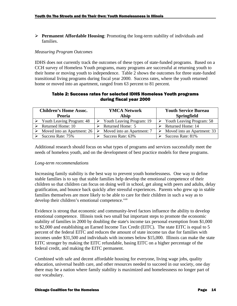ÿ **Permanent Affordable Housing**: Promoting the long-term stability of individuals and families.

#### *Measuring Program Outcomes*

IDHS does not currently track the outcomes of these types of state-funded programs. Based on a CCH survey of Homeless Youth programs, many programs are successful at returning youth to their home or moving youth to independence. Table 2 shows the outcomes for three state-funded transitional living programs during fiscal year 2000. Success rates, where the youth returned home or moved into an apartment, ranged from 63 percent to 81 percent.

#### Table 2: Success rates for selected IDHS Homeless Youth programs during fiscal year 2000

| <b>Children's Home Assoc.</b> | <b>YMCA Network</b>        | <b>Youth Service Bureau</b>      |  |
|-------------------------------|----------------------------|----------------------------------|--|
| <b>Peoria</b>                 | <b>Alsip</b>               | <b>Springfield</b>               |  |
| Youth Leaving Program: 48     | Youth Leaving Program: 19  | <b>Youth Leaving Program: 58</b> |  |
| Returned Home: 10             | Returned Home: 5           | Returned Home: 14                |  |
| Moved into an Apartment: 26   | Moved into an Apartment: 7 | Moved into an Apartment: 33      |  |
| Success Rate: 75%             | Success Rate: 63%          | Success Rate: 81%                |  |

Additional research should focus on what types of programs and services successfully meet the needs of homeless youth, and on the development of best practice models for these programs.

#### *Long-term recommendations*

Increasing family stability is the best way to prevent youth homelessness. One way to define stable families is to say that stable families help develop the emotional competence of their children so that children can focus on doing well in school, get along with peers and adults, delay gratification, and bounce back quickly after stressful experiences. Parents who grew up in stable families themselves are more likely to be able to care for their children in such a way as to develop their children's emotional competence.<sup>xxiii</sup>

Evidence is strong that economic and community-level factors influence the ability to develop emotional competence. Illinois took two small but important steps to promote the economic stability of families in 2000 by doubling the state's income tax personal exemption from \$1,000 to \$2,000 and establishing an Earned Income Tax Credit (EITC). The state EITC is equal to 5 percent of the federal EITC and reduces the amount of state income tax due for families with incomes under \$31,500 and individuals with incomes below \$15,000. Illinois can make the state EITC stronger by making the EITC refundable, basing EITC on a higher percentage of the federal credit, and making the EITC permanent.

Combined with safe and decent affordable housing for everyone, living wage jobs, quality education, universal health care, and other resources needed to succeed in our society, one day there may be a nation where family stability is maximized and homelessness no longer part of our vocabulary.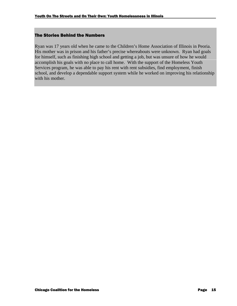#### The Stories Behind the Numbers

Ryan was 17 years old when he came to the Children's Home Association of Illinois in Peoria. His mother was in prison and his father's precise whereabouts were unknown. Ryan had goals for himself, such as finishing high school and getting a job, but was unsure of how he would accomplish his goals with no place to call home. With the support of the Homeless Youth Services program, he was able to pay his rent with rent subsidies, find employment, finish school, and develop a dependable support system while he worked on improving his relationship with his mother.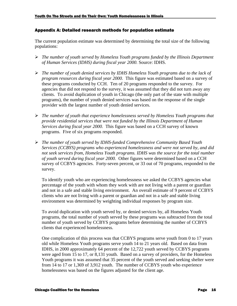#### Appendix A: Detailed research methods for population estimate

The current population estimate was determined by determining the total size of the following populations:

- ÿ *The number of youth served by Homeless Youth programs funded by the Illinois Department of Human Services (IDHS) during fiscal year 2000.* Source: IDHS.
- ÿ *The number of youth denied services by IDHS Homeless Youth programs due to the lack of program resources during fiscal year 2000.* This figure was estimated based on a survey of these programs conducted by CCH. Ten of 20 programs responded to the survey. For agencies that did not respond to the survey, it was assumed that they did not turn away any clients. To avoid duplication of youth in Chicago (the only part of the state with multiple programs), the number of youth denied services was based on the response of the single provider with the largest number of youth denied services.
- ÿ *The number of youth that experience homelessness served by Homeless Youth programs that provide residential services that were not funded by the Illinois Department of Human Services during fiscal year 2000.* This figure was based on a CCH survey of known programs. Five of six programs responded.
- ÿ *The number of youth served by IDHS-funded Comprehensive Community Based Youth Services (CCBYS) programs who experienced homelessness and were not served by, and did not seek services from, Homeless Youth programs. IDHS was the source for the total number of youth served during fiscal year 2000.* Other figures were determined based on a CCH survey of CCBYS agencies. Forty-seven percent, or 33 out of 70 programs, responded to the survey.

To identify youth who are experiencing homelessness we asked the CCBYS agencies what percentage of the youth with whom they work with are not living with a parent or guardian and not in a safe and stable living environment. An overall estimate of 9 percent of CCBYS clients who are not living with a parent or guardian and not in a safe and stable living environment was determined by weighting individual responses by program size.

To avoid duplication with youth served by, or denied services by, all Homeless Youth programs, the total number of youth served by these programs was subtracted from the total number of youth served by CCBYS programs before determining the number of CCBYS clients that experienced homelessness.

One complication of this process was that CCBYS programs serve youth from 0 to 17 years old while Homeless Youth programs serve youth 14 to 21 years old. Based on data from IDHS, in 2000 approximately 64 percent of the 12,722 youth served by CCBYS programs were aged from 15 to 17, or 8,131 youth. Based on a survey of providers, for the Homeless Youth programs it was assumed that 35 percent of the youth served and seeking shelter were from 14 to 17 or 1,369 of 3,912 youth. The number of CCBYS youth who experience homelessness was based on the figures adjusted for the client age.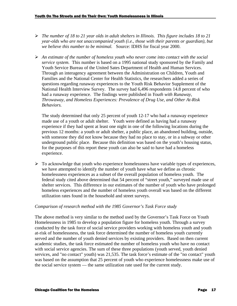- ÿ *The number of 18 to 21 year olds in adult shelters in Illinois. This figure includes 18 to 21 year-olds who are not unaccompanied youth (i.e., those with their parents or guardian), but we believe this number to be minimal.* Source: IDHS for fiscal year 2000.
- ÿ *An estimate of the number of homeless youth who never come into contact with the social service system.* This number is based on a 1995 national study sponsored by the Family and Youth Service Bureau of the United Sates Department of Health and Human Services. Through an interagency agreement between the Administration on Children, Youth and Families and the National Center for Health Statistics, the researchers added a series of questions regarding runaway experiences to the Youth Risk Behavior Supplement of the National Health Interview Survey. The survey had 6,496 respondents 14.8 percent of who had a runaway experience. The findings were published in *Youth with Runaway, Throwaway, and Homeless Experiences: Prevalence of Drug Use, and Other At-Risk Behaviors.*

The study determined that only 25 percent of youth 12-17 who had a runaway experience made use of a youth or adult shelter. Youth were defined as having had a runaway experience if they had spent at least one night in one of the following locations during the previous 12 months: a youth or adult shelter, a public place, an abandoned building, outside, with someone they did not know because they had no place to stay, or in a subway or other underground public place. Because this definition was based on the youth's housing status, for the purposes of this report these youth can also be said to have had a homeless experience.

 $\triangleright$  To acknowledge that youth who experience homelessness have variable types of experiences, we have attempted to identify the number of youth have what we define as chronic homelessness experiences as a subset of the overall population of homeless youth. The federal study cited above determined that 54 percent of "street youth," surveyed made use of shelter services. This difference in our estimates of the number of youth who have prolonged homeless experiences and the number of homeless youth overall was based on the different utilization rates found in the household and street surveys.

#### *Comparison of research method with the 1985 Governor's Task Force study*

The above method is very similar to the method used by the Governor's Task Force on Youth Homelessness in 1985 to develop a population figure for homeless youth. Through a survey conducted by the task force of social service providers working with homeless youth and youth at-risk of homelessness, the task force determined the number of homeless youth currently served and the number of youth denied services by existing providers. Based on then current academic studies, the task force estimated the number of homeless youth who have no contact with social service agencies. The sum of these three populations (youth served, youth denied services, and "no contact" youth) was 21,535. The task force's estimate of the "no contact" youth was based on the assumption that 25 percent of youth who experience homelessness make use of the social service system — the same utilization rate used for the current study.